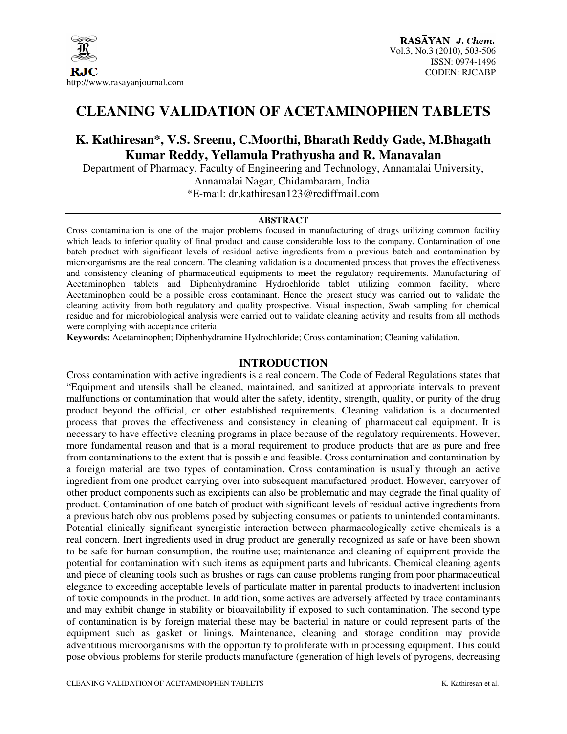

# **CLEANING VALIDATION OF ACETAMINOPHEN TABLETS**

# **K. Kathiresan\*, V.S. Sreenu, C.Moorthi, Bharath Reddy Gade, M.Bhagath Kumar Reddy, Yellamula Prathyusha and R. Manavalan**

Department of Pharmacy, Faculty of Engineering and Technology, Annamalai University, Annamalai Nagar, Chidambaram, India. \*E-mail: dr.kathiresan123@rediffmail.com

#### **ABSTRACT**

Cross contamination is one of the major problems focused in manufacturing of drugs utilizing common facility which leads to inferior quality of final product and cause considerable loss to the company. Contamination of one batch product with significant levels of residual active ingredients from a previous batch and contamination by microorganisms are the real concern. The cleaning validation is a documented process that proves the effectiveness and consistency cleaning of pharmaceutical equipments to meet the regulatory requirements. Manufacturing of Acetaminophen tablets and Diphenhydramine Hydrochloride tablet utilizing common facility, where Acetaminophen could be a possible cross contaminant. Hence the present study was carried out to validate the cleaning activity from both regulatory and quality prospective. Visual inspection, Swab sampling for chemical residue and for microbiological analysis were carried out to validate cleaning activity and results from all methods were complying with acceptance criteria.

**Keywords:** Acetaminophen; Diphenhydramine Hydrochloride; Cross contamination; Cleaning validation.

### **INTRODUCTION**

Cross contamination with active ingredients is a real concern. The Code of Federal Regulations states that "Equipment and utensils shall be cleaned, maintained, and sanitized at appropriate intervals to prevent malfunctions or contamination that would alter the safety, identity, strength, quality, or purity of the drug product beyond the official, or other established requirements. Cleaning validation is a documented process that proves the effectiveness and consistency in cleaning of pharmaceutical equipment. It is necessary to have effective cleaning programs in place because of the regulatory requirements. However, more fundamental reason and that is a moral requirement to produce products that are as pure and free from contaminations to the extent that is possible and feasible. Cross contamination and contamination by a foreign material are two types of contamination. Cross contamination is usually through an active ingredient from one product carrying over into subsequent manufactured product. However, carryover of other product components such as excipients can also be problematic and may degrade the final quality of product. Contamination of one batch of product with significant levels of residual active ingredients from a previous batch obvious problems posed by subjecting consumes or patients to unintended contaminants. Potential clinically significant synergistic interaction between pharmacologically active chemicals is a real concern. Inert ingredients used in drug product are generally recognized as safe or have been shown to be safe for human consumption, the routine use; maintenance and cleaning of equipment provide the potential for contamination with such items as equipment parts and lubricants. Chemical cleaning agents and piece of cleaning tools such as brushes or rags can cause problems ranging from poor pharmaceutical elegance to exceeding acceptable levels of particulate matter in parental products to inadvertent inclusion of toxic compounds in the product. In addition, some actives are adversely affected by trace contaminants and may exhibit change in stability or bioavailability if exposed to such contamination. The second type of contamination is by foreign material these may be bacterial in nature or could represent parts of the equipment such as gasket or linings. Maintenance, cleaning and storage condition may provide adventitious microorganisms with the opportunity to proliferate with in processing equipment. This could pose obvious problems for sterile products manufacture (generation of high levels of pyrogens, decreasing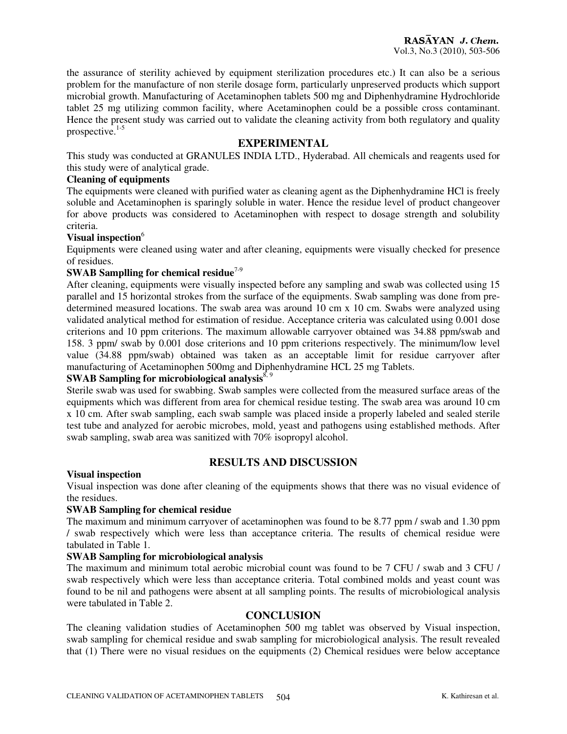the assurance of sterility achieved by equipment sterilization procedures etc.) It can also be a serious problem for the manufacture of non sterile dosage form, particularly unpreserved products which support microbial growth. Manufacturing of Acetaminophen tablets 500 mg and Diphenhydramine Hydrochloride tablet 25 mg utilizing common facility, where Acetaminophen could be a possible cross contaminant. Hence the present study was carried out to validate the cleaning activity from both regulatory and quality prospective. $1-5$ 

#### **EXPERIMENTAL**

This study was conducted at GRANULES INDIA LTD., Hyderabad. All chemicals and reagents used for this study were of analytical grade.

#### **Cleaning of equipments**

The equipments were cleaned with purified water as cleaning agent as the Diphenhydramine HCl is freely soluble and Acetaminophen is sparingly soluble in water. Hence the residue level of product changeover for above products was considered to Acetaminophen with respect to dosage strength and solubility criteria.

#### **Visual inspection**<sup>6</sup>

Equipments were cleaned using water and after cleaning, equipments were visually checked for presence of residues.

### **SWAB Samplling for chemical residue**7-9

After cleaning, equipments were visually inspected before any sampling and swab was collected using 15 parallel and 15 horizontal strokes from the surface of the equipments. Swab sampling was done from predetermined measured locations. The swab area was around 10 cm x 10 cm. Swabs were analyzed using validated analytical method for estimation of residue. Acceptance criteria was calculated using 0.001 dose criterions and 10 ppm criterions. The maximum allowable carryover obtained was 34.88 ppm/swab and 158. 3 ppm/ swab by 0.001 dose criterions and 10 ppm criterions respectively. The minimum/low level value (34.88 ppm/swab) obtained was taken as an acceptable limit for residue carryover after manufacturing of Acetaminophen 500mg and Diphenhydramine HCL 25 mg Tablets.

## **SWAB Sampling for microbiological analysis**<sup>8, 9</sup>

Sterile swab was used for swabbing. Swab samples were collected from the measured surface areas of the equipments which was different from area for chemical residue testing. The swab area was around 10 cm x 10 cm. After swab sampling, each swab sample was placed inside a properly labeled and sealed sterile test tube and analyzed for aerobic microbes, mold, yeast and pathogens using established methods. After swab sampling, swab area was sanitized with 70% isopropyl alcohol.

#### **RESULTS AND DISCUSSION**

#### **Visual inspection**

Visual inspection was done after cleaning of the equipments shows that there was no visual evidence of the residues.

#### **SWAB Sampling for chemical residue**

The maximum and minimum carryover of acetaminophen was found to be 8.77 ppm / swab and 1.30 ppm / swab respectively which were less than acceptance criteria. The results of chemical residue were tabulated in Table 1.

#### **SWAB Sampling for microbiological analysis**

The maximum and minimum total aerobic microbial count was found to be 7 CFU / swab and 3 CFU / swab respectively which were less than acceptance criteria. Total combined molds and yeast count was found to be nil and pathogens were absent at all sampling points. The results of microbiological analysis were tabulated in Table 2.

#### **CONCLUSION**

The cleaning validation studies of Acetaminophen 500 mg tablet was observed by Visual inspection, swab sampling for chemical residue and swab sampling for microbiological analysis. The result revealed that (1) There were no visual residues on the equipments (2) Chemical residues were below acceptance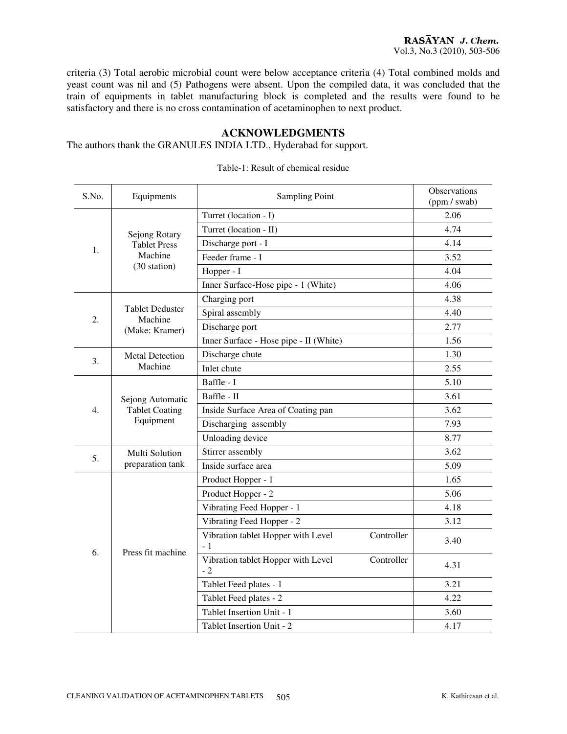criteria (3) Total aerobic microbial count were below acceptance criteria (4) Total combined molds and yeast count was nil and (5) Pathogens were absent. Upon the compiled data, it was concluded that the train of equipments in tablet manufacturing block is completed and the results were found to be satisfactory and there is no cross contamination of acetaminophen to next product.

# **ACKNOWLEDGMENTS**

The authors thank the GRANULES INDIA LTD., Hyderabad for support.

| S.No. | Equipments                                                      | <b>Sampling Point</b>                                    | Observations<br>(ppm / swab) |
|-------|-----------------------------------------------------------------|----------------------------------------------------------|------------------------------|
| 1.    | Sejong Rotary<br><b>Tablet Press</b><br>Machine<br>(30 station) | Turret (location - I)                                    | 2.06                         |
|       |                                                                 | Turret (location - II)                                   | 4.74                         |
|       |                                                                 | Discharge port - I                                       | 4.14                         |
|       |                                                                 | Feeder frame - I                                         | 3.52                         |
|       |                                                                 | Hopper - I                                               | 4.04                         |
|       |                                                                 | Inner Surface-Hose pipe - 1 (White)                      | 4.06                         |
| 2.    | Tablet Deduster<br>Machine<br>(Make: Kramer)                    | Charging port                                            | 4.38                         |
|       |                                                                 | Spiral assembly                                          | 4.40                         |
|       |                                                                 | Discharge port                                           | 2.77                         |
|       |                                                                 | Inner Surface - Hose pipe - II (White)                   | 1.56                         |
| 3.    | <b>Metal Detection</b><br>Machine                               | Discharge chute                                          | 1.30                         |
|       |                                                                 | Inlet chute                                              | 2.55                         |
|       | Sejong Automatic<br>Tablet Coating<br>Equipment                 | Baffle - I                                               | 5.10                         |
|       |                                                                 | Baffle - II                                              | 3.61                         |
| 4.    |                                                                 | Inside Surface Area of Coating pan                       | 3.62                         |
|       |                                                                 | Discharging assembly                                     | 7.93                         |
|       |                                                                 | Unloading device                                         | 8.77                         |
| 5.    | Multi Solution<br>preparation tank                              | Stirrer assembly                                         | 3.62                         |
|       |                                                                 | Inside surface area                                      | 5.09                         |
|       | Press fit machine                                               | Product Hopper - 1                                       | 1.65                         |
|       |                                                                 | Product Hopper - 2                                       | 5.06                         |
| 6.    |                                                                 | Vibrating Feed Hopper - 1                                | 4.18                         |
|       |                                                                 | Vibrating Feed Hopper - 2                                | 3.12                         |
|       |                                                                 | Vibration tablet Hopper with Level<br>Controller<br>$-1$ | 3.40                         |
|       |                                                                 | Vibration tablet Hopper with Level<br>Controller<br>$-2$ | 4.31                         |
|       |                                                                 | Tablet Feed plates - 1                                   | 3.21                         |
|       |                                                                 | Tablet Feed plates - 2                                   | 4.22                         |
|       |                                                                 | Tablet Insertion Unit - 1                                | 3.60                         |
|       |                                                                 | Tablet Insertion Unit - 2                                | 4.17                         |

Table-1: Result of chemical residue